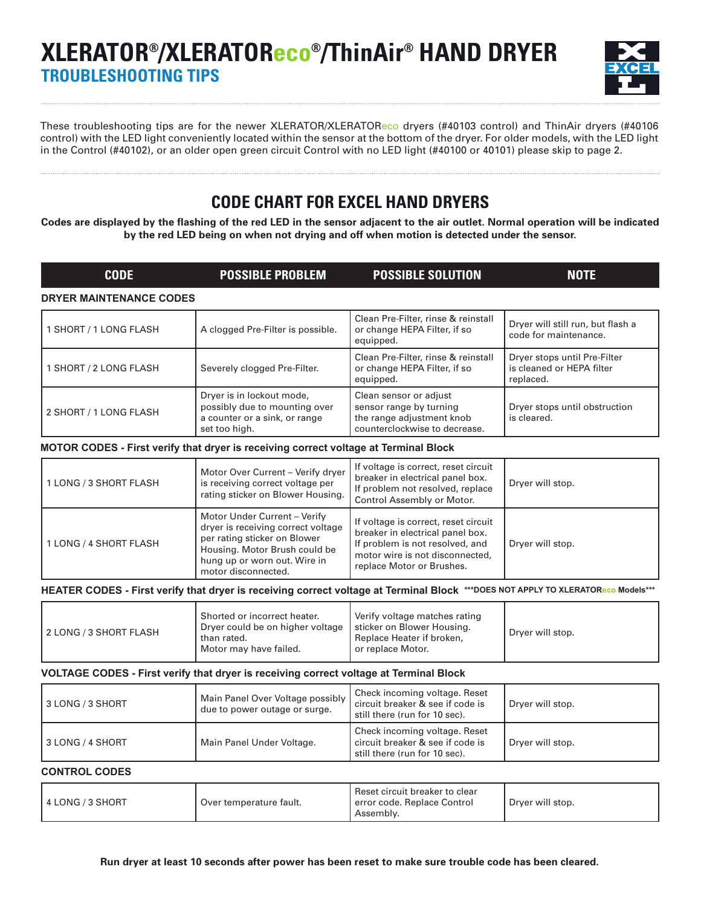# **XLERATOR®/XLERATOReco®/ThinAir® HAND DRYER TROUBLESHOOTING TIPS**



These troubleshooting tips are for the newer XLERATOR/XLERATOReco dryers (#40103 control) and ThinAir dryers (#40106 control) with the LED light conveniently located within the sensor at the bottom of the dryer. For older models, with the LED light in the Control (#40102), or an older open green circuit Control with no LED light (#40100 or 40101) please skip to page 2.

## **CODE CHART FOR EXCEL HAND DRYERS**

**Codes are displayed by the flashing of the red LED in the sensor adjacent to the air outlet. Normal operation will be indicated by the red LED being on when not drying and off when motion is detected under the sensor.**

| <b>CODE</b>                    | <b>POSSIBLE PROBLEM</b>                                                                                                                                                                    | <b>POSSIBLE SOLUTION</b>                                                                                                                                                    | <b>NOTE</b>                                                            |
|--------------------------------|--------------------------------------------------------------------------------------------------------------------------------------------------------------------------------------------|-----------------------------------------------------------------------------------------------------------------------------------------------------------------------------|------------------------------------------------------------------------|
| <b>DRYER MAINTENANCE CODES</b> |                                                                                                                                                                                            |                                                                                                                                                                             |                                                                        |
| 1 SHORT / 1 LONG FLASH         | A clogged Pre-Filter is possible.                                                                                                                                                          | Clean Pre-Filter, rinse & reinstall<br>or change HEPA Filter, if so<br>equipped.                                                                                            | Dryer will still run, but flash a<br>code for maintenance.             |
| 1 SHORT / 2 LONG FLASH         | Severely clogged Pre-Filter.                                                                                                                                                               | Clean Pre-Filter, rinse & reinstall<br>or change HEPA Filter, if so<br>equipped.                                                                                            | Dryer stops until Pre-Filter<br>is cleaned or HEPA filter<br>replaced. |
| 2 SHORT / 1 LONG FLASH         | Dryer is in lockout mode,<br>possibly due to mounting over<br>a counter or a sink, or range<br>set too high.                                                                               | Clean sensor or adjust<br>sensor range by turning<br>the range adjustment knob<br>counterclockwise to decrease.                                                             | Dryer stops until obstruction<br>is cleared.                           |
|                                | MOTOR CODES - First verify that dryer is receiving correct voltage at Terminal Block                                                                                                       |                                                                                                                                                                             |                                                                        |
| 1 LONG / 3 SHORT FLASH         | Motor Over Current - Verify dryer<br>is receiving correct voltage per<br>rating sticker on Blower Housing.                                                                                 | If voltage is correct, reset circuit<br>breaker in electrical panel box.<br>If problem not resolved, replace<br>Control Assembly or Motor.                                  | Dryer will stop.                                                       |
| 1 LONG / 4 SHORT FLASH         | Motor Under Current - Verify<br>dryer is receiving correct voltage<br>per rating sticker on Blower<br>Housing. Motor Brush could be<br>hung up or worn out. Wire in<br>motor disconnected. | If voltage is correct, reset circuit<br>breaker in electrical panel box.<br>If problem is not resolved, and<br>motor wire is not disconnected,<br>replace Motor or Brushes. | Dryer will stop.                                                       |
|                                | HEATER CODES - First verify that dryer is receiving correct voltage at Terminal Block ***DOES NOT APPLY TO XLERATOReco Models***                                                           |                                                                                                                                                                             |                                                                        |
| 2 LONG / 3 SHORT FLASH         | Shorted or incorrect heater.<br>Dryer could be on higher voltage<br>than rated.<br>Motor may have failed.                                                                                  | Verify voltage matches rating<br>sticker on Blower Housing.<br>Replace Heater if broken,<br>or replace Motor.                                                               | Dryer will stop.                                                       |
|                                | VOLTAGE CODES - First verify that dryer is receiving correct voltage at Terminal Block                                                                                                     |                                                                                                                                                                             |                                                                        |
| 3 LONG / 3 SHORT               | Main Panel Over Voltage possibly<br>due to power outage or surge.                                                                                                                          | Check incoming voltage. Reset<br>circuit breaker & see if code is<br>still there (run for 10 sec).                                                                          | Dryer will stop.                                                       |
| 3 LONG / 4 SHORT               | Main Panel Under Voltage.                                                                                                                                                                  | Check incoming voltage. Reset<br>circuit breaker & see if code is<br>still there (run for 10 sec).                                                                          | Dryer will stop.                                                       |

#### **CONTROL CODES**

| 4 LONG / 3 SHORT | Over temperature fault. | l Reset circuit breaker to clear<br>l error code. Replace Control<br>Assembly. | Dryer will stop. |
|------------------|-------------------------|--------------------------------------------------------------------------------|------------------|
|------------------|-------------------------|--------------------------------------------------------------------------------|------------------|